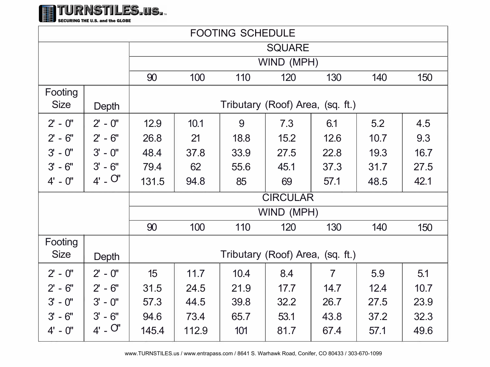

SECURING THE U.S. and the GLOBE

| <b>FOOTING SCHEDULE</b> |             |                                  |       |      |      |                |      |      |
|-------------------------|-------------|----------------------------------|-------|------|------|----------------|------|------|
|                         |             | <b>SQUARE</b>                    |       |      |      |                |      |      |
|                         |             | WIND (MPH)                       |       |      |      |                |      |      |
|                         |             | 90                               | 100   | 110  | 120  | 130            | 140  | 150  |
| Footing                 |             |                                  |       |      |      |                |      |      |
| <b>Size</b>             | Depth       | Tributary (Roof) Area, (sq. ft.) |       |      |      |                |      |      |
| $2' - 0''$              | $2' - 0''$  | 12.9                             | 10.1  | 9    | 7.3  | 6.1            | 5.2  | 4.5  |
| $2 - 6"$                | $2 - 6$ "   | 26.8                             | 21    | 18.8 | 15.2 | 12.6           | 10.7 | 9.3  |
| $3' - 0''$              | $3' - 0''$  | 48.4                             | 37.8  | 33.9 | 27.5 | 22.8           | 19.3 | 16.7 |
| $3' - 6''$              | $3' - 6''$  | 79.4                             | 62    | 55.6 | 45.1 | 37.3           | 31.7 | 27.5 |
| $4' - 0''$              | $4'$ - $O'$ | 131.5                            | 94.8  | 85   | 69   | 57.1           | 48.5 | 42.1 |
|                         |             | <b>CIRCULAR</b>                  |       |      |      |                |      |      |
|                         |             | WIND (MPH)                       |       |      |      |                |      |      |
|                         |             | 90                               | 100   | 110  | 120  | 130            | 140  | 150  |
| Footing<br><b>Size</b>  | Depth       | Tributary (Roof) Area, (sq. ft.) |       |      |      |                |      |      |
| $2' - 0''$              | $2' - 0''$  | 15                               | 11.7  | 10.4 | 8.4  | $\overline{7}$ | 5.9  | 5.1  |
| $2' - 6''$              | $2 - 6$ "   | 31.5                             | 24.5  | 21.9 | 17.7 | 14.7           | 12.4 | 10.7 |
| $3' - 0''$              | $3' - 0''$  | 57.3                             | 44.5  | 39.8 | 32.2 | 26.7           | 27.5 | 23.9 |
| $3' - 6''$              | $3' - 6''$  | 94.6                             | 73.4  | 65.7 | 53.1 | 43.8           | 37.2 | 32.3 |
| $4' - 0''$              | $4'$ - $O'$ | 145.4                            | 112.9 | 101  | 81.7 | 67.4           | 57.1 | 49.6 |